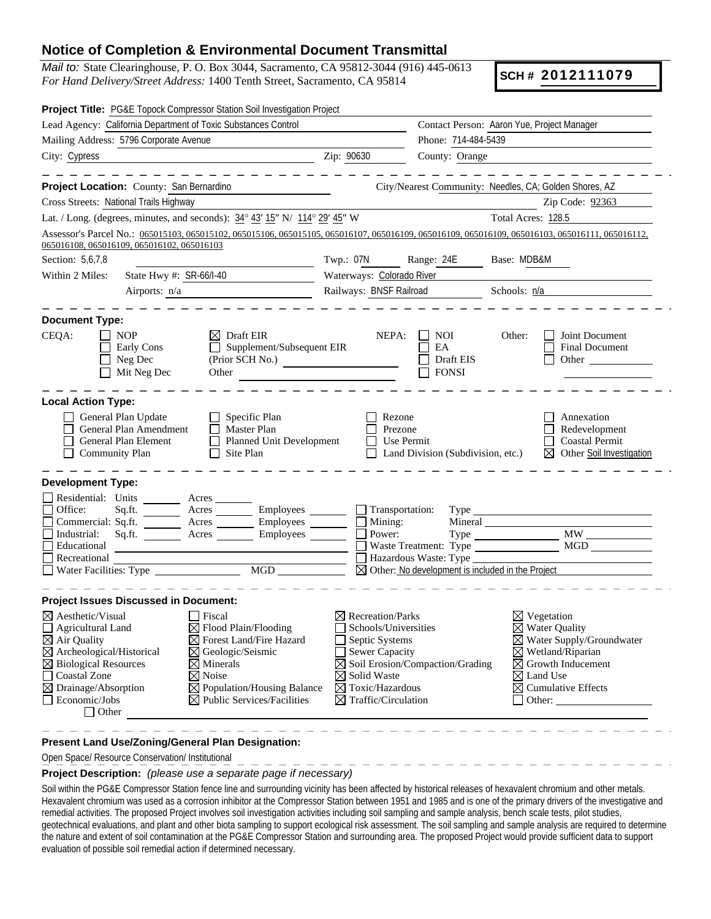## **Notice of Completion & Environmental Document Transmittal**

*Mail to:* State Clearinghouse, P. O. Box 3044, Sacramento, CA 95812-3044 (916) 445-0613 *For Hand Delivery/Street Address:* 1400 Tenth Street, Sacramento, CA 95814

**SCH #** 2012111079

|                                                                                                                             |                                                                                                                             | Project Title: PG&E Topock Compressor Station Soil Investigation Project                                                                                                                                                           |                                                                                                                                                                                       |                                                                                       |                                                                             |                                                                                                                                                   |
|-----------------------------------------------------------------------------------------------------------------------------|-----------------------------------------------------------------------------------------------------------------------------|------------------------------------------------------------------------------------------------------------------------------------------------------------------------------------------------------------------------------------|---------------------------------------------------------------------------------------------------------------------------------------------------------------------------------------|---------------------------------------------------------------------------------------|-----------------------------------------------------------------------------|---------------------------------------------------------------------------------------------------------------------------------------------------|
|                                                                                                                             |                                                                                                                             | Lead Agency: California Department of Toxic Substances Control                                                                                                                                                                     |                                                                                                                                                                                       |                                                                                       | Contact Person: Aaron Yue, Project Manager                                  |                                                                                                                                                   |
|                                                                                                                             | Mailing Address: 5796 Corporate Avenue                                                                                      |                                                                                                                                                                                                                                    |                                                                                                                                                                                       | Phone: 714-484-5439                                                                   |                                                                             |                                                                                                                                                   |
| City: Cypress                                                                                                               |                                                                                                                             |                                                                                                                                                                                                                                    | Zip: 90630                                                                                                                                                                            | County: Orange                                                                        |                                                                             |                                                                                                                                                   |
|                                                                                                                             |                                                                                                                             |                                                                                                                                                                                                                                    |                                                                                                                                                                                       |                                                                                       |                                                                             |                                                                                                                                                   |
|                                                                                                                             | Project Location: County: San Bernardino                                                                                    |                                                                                                                                                                                                                                    |                                                                                                                                                                                       | City/Nearest Community: Needles, CA; Golden Shores, AZ                                |                                                                             |                                                                                                                                                   |
|                                                                                                                             | Cross Streets: National Trails Highway                                                                                      |                                                                                                                                                                                                                                    |                                                                                                                                                                                       |                                                                                       | Zip Code: 92363                                                             |                                                                                                                                                   |
|                                                                                                                             |                                                                                                                             | Lat. / Long. (degrees, minutes, and seconds): $34^{\circ}$ 43' 15" N/ 114° 29' 45" W                                                                                                                                               |                                                                                                                                                                                       |                                                                                       | Total Acres: 128.5                                                          |                                                                                                                                                   |
|                                                                                                                             | 065016108, 065016109, 065016102, 065016103                                                                                  | Assessor's Parcel No.: 065015103, 065015102, 065015106, 065015105, 065016107, 065016109, 065016109, 065016109, 065016103, 065016111, 065016112,                                                                                    |                                                                                                                                                                                       |                                                                                       |                                                                             |                                                                                                                                                   |
| Section: 5,6,7,8                                                                                                            |                                                                                                                             |                                                                                                                                                                                                                                    | Twp.: $07N$<br>Range: 24E                                                                                                                                                             |                                                                                       | Base: MDB&M                                                                 |                                                                                                                                                   |
| State Hwy #: SR-66/I-40<br>Within 2 Miles:                                                                                  |                                                                                                                             |                                                                                                                                                                                                                                    | Waterways: Colorado River                                                                                                                                                             |                                                                                       |                                                                             |                                                                                                                                                   |
| Airports: n/a                                                                                                               |                                                                                                                             |                                                                                                                                                                                                                                    | Railways: BNSF Railroad                                                                                                                                                               |                                                                                       | Schools: n/a                                                                |                                                                                                                                                   |
|                                                                                                                             |                                                                                                                             |                                                                                                                                                                                                                                    |                                                                                                                                                                                       |                                                                                       |                                                                             |                                                                                                                                                   |
| <b>Document Type:</b>                                                                                                       |                                                                                                                             |                                                                                                                                                                                                                                    |                                                                                                                                                                                       |                                                                                       |                                                                             |                                                                                                                                                   |
| CEQA:                                                                                                                       | <b>NOP</b><br>ΙI<br>Early Cons<br>Neg Dec<br>Mit Neg Dec                                                                    | <b>Draft EIR</b><br>⊠<br>Supplement/Subsequent EIR<br>(Prior SCH No.)<br>Other                                                                                                                                                     | NEPA:                                                                                                                                                                                 | NOI<br>EA<br>Draft EIS<br><b>FONSI</b>                                                | Other:                                                                      | Joint Document<br><b>Final Document</b><br>Other                                                                                                  |
|                                                                                                                             | <b>Local Action Type:</b><br>General Plan Update<br>General Plan Amendment<br>General Plan Element<br>Community Plan        | Specific Plan<br>Master Plan<br><b>Planned Unit Development</b><br>$\Box$ Site Plan                                                                                                                                                | Rezone<br>Prezone<br>Use Permit<br>ΙI                                                                                                                                                 | Land Division (Subdivision, etc.)                                                     |                                                                             | Annexation<br>Redevelopment<br><b>Coastal Permit</b><br>$\boxtimes$ Other Soil Investigation                                                      |
| $\Box$ Office:<br>$\Box$ Industrial:<br>Educational<br>$\Box$ Recreational                                                  | <b>Development Type:</b><br>Residential: Units<br>Sq.ft.<br>Water Facilities: Type                                          | Acres<br>Acres Employees<br>Commercial: Sq.ft. <b>Acres Acres Employees Legendrian</b><br>MGD                                                                                                                                      | $\Box$ Transportation:<br>$\Box$<br>Mining:<br>Power:<br>$\Box$                                                                                                                       | Hazardous Waste: Type<br>$\boxtimes$ Other: No development is included in the Project |                                                                             | $Type \_\_\_\_\_\_\_\_\_\_\_$<br>$\overline{\text{MW}}$                                                                                           |
|                                                                                                                             | <b>Project Issues Discussed in Document:</b>                                                                                |                                                                                                                                                                                                                                    |                                                                                                                                                                                       |                                                                                       |                                                                             |                                                                                                                                                   |
| $\boxtimes$ Aesthetic/Visual<br>$\Box$ Agricultural Land<br>$\boxtimes$ Air Quality<br>Coastal Zone<br>$\Box$ Economic/Jobs | $\boxtimes$ Archeological/Historical<br>$\boxtimes$ Biological Resources<br>$\boxtimes$ Drainage/Absorption<br>$\Box$ Other | □ Fiscal<br>$\boxtimes$ Flood Plain/Flooding<br>⊠<br>Forest Land/Fire Hazard<br>Geologic/Seismic<br>$\boxtimes$<br>Minerals<br>⊠<br>⊠<br>Noise<br><b>Population/Housing Balance</b><br>⊠<br><b>Public Services/Facilities</b><br>⊠ | $\boxtimes$ Recreation/Parks<br>Schools/Universities<br>Septic Systems<br>Sewer Capacity<br>$\boxtimes$ Solid Waste<br>$\boxtimes$ Toxic/Hazardous<br>$\boxtimes$ Traffic/Circulation | Soil Erosion/Compaction/Grading                                                       | $\boxtimes$ Vegetation<br>$\boxtimes$ Water Quality<br>$\boxtimes$ Land Use | $\boxtimes$ Water Supply/Groundwater<br>$\boxtimes$ Wetland/Riparian<br>$\boxtimes$ Growth Inducement<br>$\boxtimes$ Cumulative Effects<br>Other: |

**Present Land Use/Zoning/General Plan Designation:**

Open Space/ Resource Conservation/ Institutional

**Project Description:** *(please use a separate page if necessary)* 

Soil within the PG&E Compressor Station fence line and surrounding vicinity has been affected by historical releases of hexavalent chromium and other metals. Hexavalent chromium was used as a corrosion inhibitor at the Compressor Station between 1951 and 1985 and is one of the primary drivers of the investigative and remedial activities. The proposed Project involves soil investigation activities including soil sampling and sample analysis, bench scale tests, pilot studies, geotechnical evaluations, and plant and other biota sampling to support ecological risk assessment. The soil sampling and sample analysis are required to determine the nature and extent of soil contamination at the PG&E Compressor Station and surrounding area. The proposed Project would provide sufficient data to support evaluation of possible soil remedial action if determined necessary.